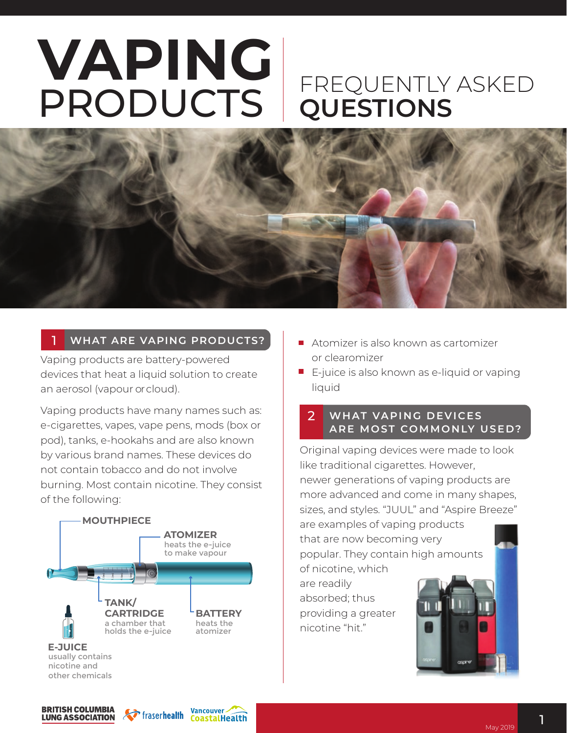# **VAPING** PRODUCTS DUESTIONS **QUESTIONS**



#### 1  **WHAT ARE VAPING PRODUCTS?**

Vaping products are battery-powered devices that heat a liquid solution to create an aerosol (vapour or cloud).

Vaping products have many names such as: e-cigarettes, vapes, vape pens, mods (box or pod), tanks, e-hookahs and are also known by various brand names. These devices do not contain tobacco and do not involve burning. Most contain nicotine. They consist of the following:



- Atomizer is also known as cartomizer or clearomizer
- $\blacksquare$  E-juice is also known as e-liquid or vaping liquid

## 2 **WHAT VAPING DEVICES A R E M O ST CO M M O N LY U S E D?**

Original vaping devices were made to look like traditional cigarettes. However, newer generations of vaping products are more advanced and come in many shapes, sizes, and styles. "JUUL" and "Aspire Breeze"

are examples of vaping products that are now becoming very popular. They contain high amounts

of nicotine, which are readily absorbed; thus providing a greater nicotine "hit."



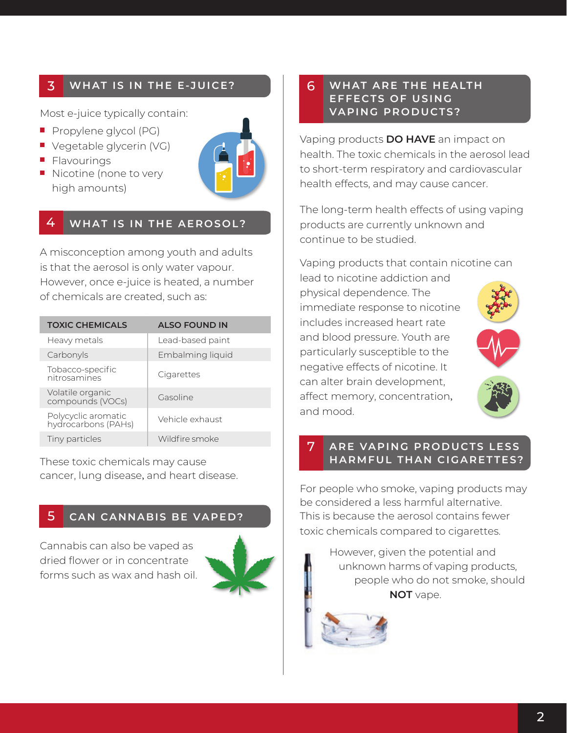#### 3 **WHAT IS IN THE E-JUICE?**

Most e-juice typically contain:

- **Propylene glycol (PG)**
- **Vegetable glycerin (VG)**
- **Flavourings**
- $\blacksquare$  Nicotine (none to very high amounts)



#### 4 **WHAT IS IN THE AEROSOL?**

A misconception among youth and adults is that the aerosol is only water vapour. However, once e-juice is heated, a number of chemicals are created, such as:

| <b>TOXIC CHEMICALS</b>                     | <b>ALSO FOUND IN</b> |
|--------------------------------------------|----------------------|
| Heavy metals                               | Lead-based paint     |
| Carbonyls                                  | Embalming liquid     |
| Tobacco-specific<br>nitrosamines           | Cigarettes           |
| Volatile organic<br>compounds (VOCs)       | Gasoline             |
| Polycyclic aromatic<br>hydrocarbons (PAHs) | Vehicle exhaust      |
| Tiny particles                             | Wildfire smoke       |

These toxic chemicals may cause cancer, lung disease, and heart disease.

#### 5 **CAN CANNABIS BE VAPED?**

Cannabis can also be vaped as dried flower or in concentrate forms such as wax and hash oil.



## 6 WHAT ARE THE HEALTH **EFFECTS OF USING VAPING PRODUCTS?**

Vaping products **DO HAVE** an impact on health. The toxic chemicals in the aerosol lead to short-term respiratory and cardiovascular health effects, and may cause cancer.

The long-term health effects of using vaping products are currently unknown and continue to be studied.

Vaping products that contain nicotine can lead to nicotine addiction and

physical dependence. The immediate response to nicotine includes increased heart rate and blood pressure. Youth are particularly susceptible to the negative effects of nicotine. It can alter brain development, affect memory, concentration, and mood.



### 7 **ARE VAPING PRODUCTS LESS HARMFUL THAN CIGARETTES?**

For people who smoke, vaping products may be considered a less harmful alternative. This is because the aerosol contains fewer toxic chemicals compared to cigarettes.

> However, given the potential and unknown harms of vaping products, people who do not smoke, should **NOT** vape.